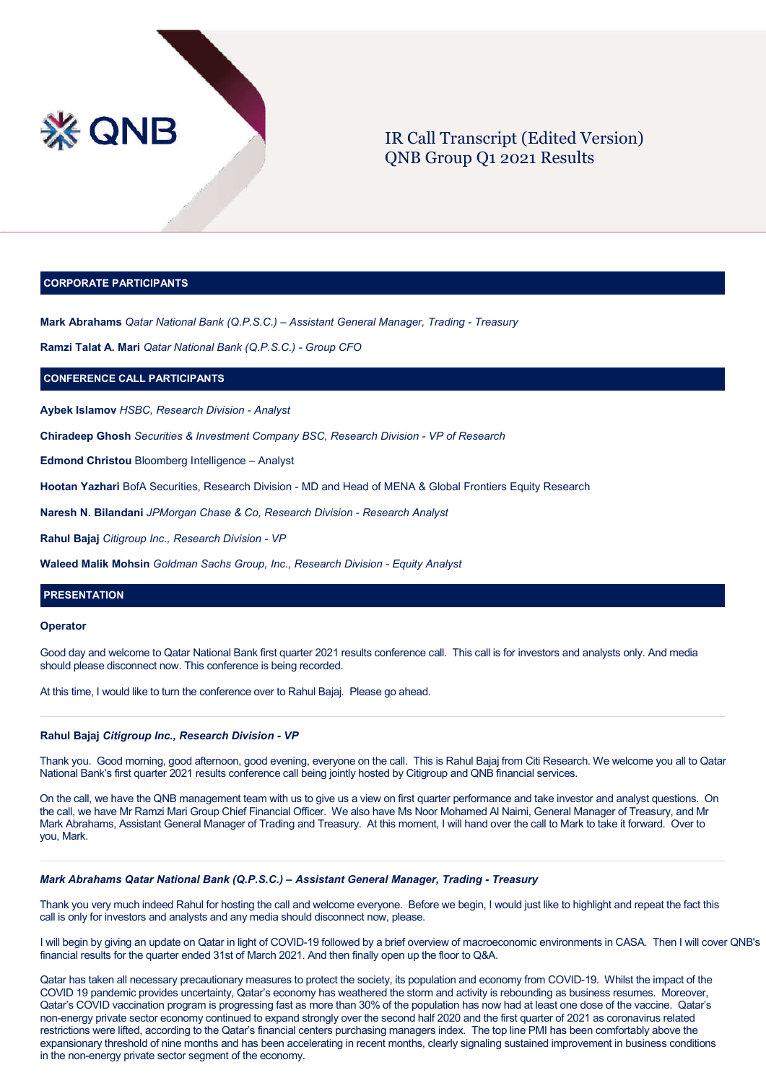

# IR Call Transcript (Edited Version) QNB Group Q1 2021 Results

# **CORPORATE PARTICIPANTS**

**Mark Abrahams** *Qatar National Bank (Q.P.S.C.) – Assistant General Manager, Trading - Treasury*

**Ramzi Talat A. Mari** *Qatar National Bank (Q.P.S.C.) - Group CFO*

# **CONFERENCE CALL PARTICIPANTS**

**Aybek Islamov** *HSBC, Research Division - Analyst*

**Chiradeep Ghosh** *Securities & Investment Company BSC, Research Division - VP of Research*

**Edmond Christou** Bloomberg Intelligence – Analyst

**Hootan Yazhari** BofA Securities, Research Division - MD and Head of MENA & Global Frontiers Equity Research

**Naresh N. Bilandani** *JPMorgan Chase & Co, Research Division - Research Analyst*

**Rahul Bajaj** *Citigroup Inc., Research Division - VP*

**Waleed Malik Mohsin** *Goldman Sachs Group, Inc., Research Division - Equity Analyst*

# **PRESENTATION**

# **Operator**

Good day and welcome to Qatar National Bank first quarter 2021 results conference call. This call is for investors and analysts only. And media should please disconnect now. This conference is being recorded.

At this time, I would like to turn the conference over to Rahul Bajaj. Please go ahead.

# **Rahul Bajaj** *Citigroup Inc., Research Division - VP*

Thank you. Good morning, good afternoon, good evening, everyone on the call. This is Rahul Bajaj from Citi Research. We welcome you all to Qatar National Bank's first quarter 2021 results conference call being jointly hosted by Citigroup and QNB financial services.

On the call, we have the QNB management team with us to give us a view on first quarter performance and take investor and analyst questions. On the call, we have Mr Ramzi Mari Group Chief Financial Officer. We also have Ms Noor Mohamed Al Naimi, General Manager of Treasury, and Mr Mark Abrahams, Assistant General Manager of Trading and Treasury. At this moment, I will hand over the call to Mark to take it forward. Over to you, Mark.

# *Mark Abrahams Qatar National Bank (Q.P.S.C.) – Assistant General Manager, Trading - Treasury*

Thank you very much indeed Rahul for hosting the call and welcome everyone. Before we begin, I would just like to highlight and repeat the fact this call is only for investors and analysts and any media should disconnect now, please.

I will begin by giving an update on Qatar in light of COVID-19 followed by a brief overview of macroeconomic environments in CASA. Then I will cover QNB's financial results for the quarter ended 31st of March 2021. And then finally open up the floor to Q&A.

Qatar has taken all necessary precautionary measures to protect the society, its population and economy from COVID-19. Whilst the impact of the COVID 19 pandemic provides uncertainty, Qatar's economy has weathered the storm and activity is rebounding as business resumes. Moreover, Qatar's COVID vaccination program is progressing fast as more than 30% of the population has now had at least one dose of the vaccine. Qatar's non-energy private sector economy continued to expand strongly over the second half 2020 and the first quarter of 2021 as coronavirus related restrictions were lifted, according to the Qatar's financial centers purchasing managers index. The top line PMI has been comfortably above the expansionary threshold of nine months and has been accelerating in recent months, clearly signaling sustained improvement in business conditions in the non-energy private sector segment of the economy.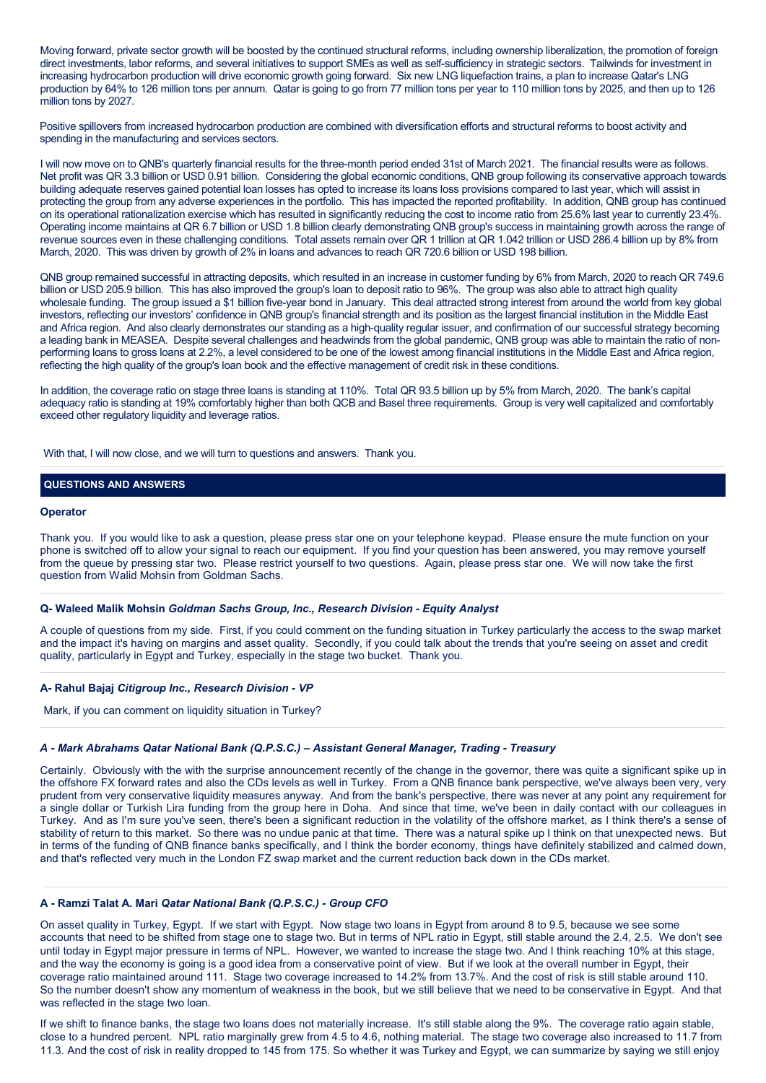Moving forward, private sector growth will be boosted by the continued structural reforms, including ownership liberalization, the promotion of foreign direct investments, labor reforms, and several initiatives to support SMEs as well as self-sufficiency in strategic sectors. Tailwinds for investment in increasing hydrocarbon production will drive economic growth going forward. Six new LNG liquefaction trains, a plan to increase Qatar's LNG production by 64% to 126 million tons per annum. Qatar is going to go from 77 million tons per year to 110 million tons by 2025, and then up to 126 million tons by 2027.

Positive spillovers from increased hydrocarbon production are combined with diversification efforts and structural reforms to boost activity and spending in the manufacturing and services sectors.

I will now move on to QNB's quarterly financial results for the three-month period ended 31st of March 2021. The financial results were as follows. Net profit was QR 3.3 billion or USD 0.91 billion. Considering the global economic conditions, QNB group following its conservative approach towards building adequate reserves gained potential loan losses has opted to increase its loans loss provisions compared to last year, which will assist in protecting the group from any adverse experiences in the portfolio. This has impacted the reported profitability. In addition, QNB group has continued on its operational rationalization exercise which has resulted in significantly reducing the cost to income ratio from 25.6% last year to currently 23.4%. Operating income maintains at QR 6.7 billion or USD 1.8 billion clearly demonstrating QNB group's success in maintaining growth across the range of revenue sources even in these challenging conditions. Total assets remain over QR 1 trillion at QR 1.042 trillion or USD 286.4 billion up by 8% from March, 2020. This was driven by growth of 2% in loans and advances to reach QR 720.6 billion or USD 198 billion.

QNB group remained successful in attracting deposits, which resulted in an increase in customer funding by 6% from March, 2020 to reach QR 749.6 billion or USD 205.9 billion. This has also improved the group's loan to deposit ratio to 96%. The group was also able to attract high quality wholesale funding. The group issued a \$1 billion five-year bond in January. This deal attracted strong interest from around the world from key global investors, reflecting our investors' confidence in QNB group's financial strength and its position as the largest financial institution in the Middle East and Africa region. And also clearly demonstrates our standing as a high-quality regular issuer, and confirmation of our successful strategy becoming a leading bank in MEASEA. Despite several challenges and headwinds from the global pandemic, QNB group was able to maintain the ratio of nonperforming loans to gross loans at 2.2%, a level considered to be one of the lowest among financial institutions in the Middle East and Africa region, reflecting the high quality of the group's loan book and the effective management of credit risk in these conditions.

In addition, the coverage ratio on stage three loans is standing at 110%. Total QR 93.5 billion up by 5% from March, 2020. The bank's capital adequacy ratio is standing at 19% comfortably higher than both QCB and Basel three requirements. Group is very well capitalized and comfortably exceed other regulatory liquidity and leverage ratios.

With that, I will now close, and we will turn to questions and answers. Thank you.

# **QUESTIONS AND ANSWERS**

## **Operator**

Thank you. If you would like to ask a question, please press star one on your telephone keypad. Please ensure the mute function on your phone is switched off to allow your signal to reach our equipment. If you find your question has been answered, you may remove yourself from the queue by pressing star two. Please restrict yourself to two questions. Again, please press star one. We will now take the first question from Walid Mohsin from Goldman Sachs.

#### **Q- Waleed Malik Mohsin** *Goldman Sachs Group, Inc., Research Division - Equity Analyst*

A couple of questions from my side. First, if you could comment on the funding situation in Turkey particularly the access to the swap market and the impact it's having on margins and asset quality. Secondly, if you could talk about the trends that you're seeing on asset and credit quality, particularly in Egypt and Turkey, especially in the stage two bucket. Thank you.

# **A- Rahul Bajaj** *Citigroup Inc., Research Division - VP*

Mark, if you can comment on liquidity situation in Turkey?

#### *A - Mark Abrahams Qatar National Bank (Q.P.S.C.) – Assistant General Manager, Trading - Treasury*

Certainly. Obviously with the with the surprise announcement recently of the change in the governor, there was quite a significant spike up in the offshore FX forward rates and also the CDs levels as well in Turkey. From a QNB finance bank perspective, we've always been very, very prudent from very conservative liquidity measures anyway. And from the bank's perspective, there was never at any point any requirement for a single dollar or Turkish Lira funding from the group here in Doha. And since that time, we've been in daily contact with our colleagues in Turkey. And as I'm sure you've seen, there's been a significant reduction in the volatility of the offshore market, as I think there's a sense of stability of return to this market. So there was no undue panic at that time. There was a natural spike up I think on that unexpected news. But in terms of the funding of QNB finance banks specifically, and I think the border economy, things have definitely stabilized and calmed down, and that's reflected very much in the London FZ swap market and the current reduction back down in the CDs market.

# **A - Ramzi Talat A. Mari** *Qatar National Bank (Q.P.S.C.) - Group CFO*

On asset quality in Turkey, Egypt. If we start with Egypt. Now stage two loans in Egypt from around 8 to 9.5, because we see some accounts that need to be shifted from stage one to stage two. But in terms of NPL ratio in Egypt, still stable around the 2.4, 2.5. We don't see until today in Egypt major pressure in terms of NPL. However, we wanted to increase the stage two. And I think reaching 10% at this stage, and the way the economy is going is a good idea from a conservative point of view. But if we look at the overall number in Egypt, their coverage ratio maintained around 111. Stage two coverage increased to 14.2% from 13.7%. And the cost of risk is still stable around 110. So the number doesn't show any momentum of weakness in the book, but we still believe that we need to be conservative in Egypt. And that was reflected in the stage two loan.

If we shift to finance banks, the stage two loans does not materially increase. It's still stable along the 9%. The coverage ratio again stable, close to a hundred percent. NPL ratio marginally grew from 4.5 to 4.6, nothing material. The stage two coverage also increased to 11.7 from 11.3. And the cost of risk in reality dropped to 145 from 175. So whether it was Turkey and Egypt, we can summarize by saying we still enjoy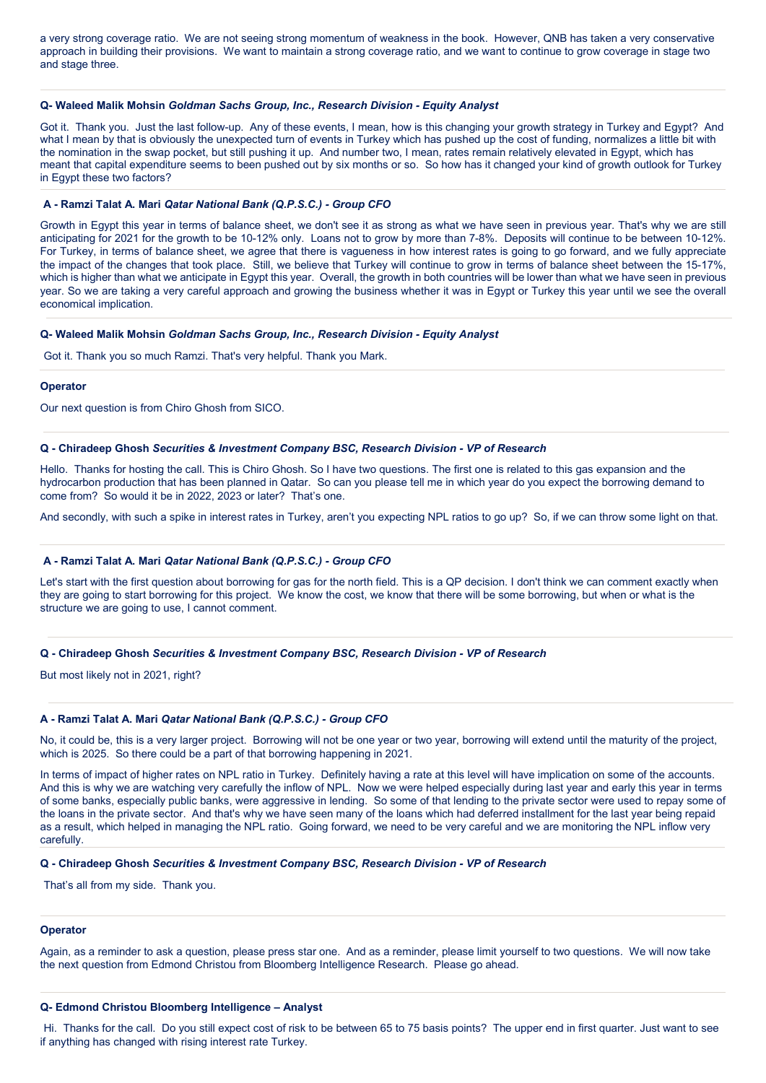a very strong coverage ratio. We are not seeing strong momentum of weakness in the book. However, QNB has taken a very conservative approach in building their provisions. We want to maintain a strong coverage ratio, and we want to continue to grow coverage in stage two and stage three.

# **Q- Waleed Malik Mohsin** *Goldman Sachs Group, Inc., Research Division - Equity Analyst*

Got it. Thank you. Just the last follow-up. Any of these events, I mean, how is this changing your growth strategy in Turkey and Egypt? And what I mean by that is obviously the unexpected turn of events in Turkey which has pushed up the cost of funding, normalizes a little bit with the nomination in the swap pocket, but still pushing it up. And number two, I mean, rates remain relatively elevated in Egypt, which has meant that capital expenditure seems to been pushed out by six months or so. So how has it changed your kind of growth outlook for Turkey in Egypt these two factors?

#### **A - Ramzi Talat A. Mari** *Qatar National Bank (Q.P.S.C.) - Group CFO*

Growth in Egypt this year in terms of balance sheet, we don't see it as strong as what we have seen in previous year. That's why we are still anticipating for 2021 for the growth to be 10-12% only. Loans not to grow by more than 7-8%. Deposits will continue to be between 10-12%. For Turkey, in terms of balance sheet, we agree that there is vagueness in how interest rates is going to go forward, and we fully appreciate the impact of the changes that took place. Still, we believe that Turkey will continue to grow in terms of balance sheet between the 15-17%, which is higher than what we anticipate in Egypt this year. Overall, the growth in both countries will be lower than what we have seen in previous year. So we are taking a very careful approach and growing the business whether it was in Egypt or Turkey this year until we see the overall economical implication.

#### **Q- Waleed Malik Mohsin** *Goldman Sachs Group, Inc., Research Division - Equity Analyst*

Got it. Thank you so much Ramzi. That's very helpful. Thank you Mark.

# **Operator**

Our next question is from Chiro Ghosh from SICO.

## **Q - Chiradeep Ghosh** *Securities & Investment Company BSC, Research Division - VP of Research*

Hello. Thanks for hosting the call. This is Chiro Ghosh. So I have two questions. The first one is related to this gas expansion and the hydrocarbon production that has been planned in Qatar. So can you please tell me in which year do you expect the borrowing demand to come from? So would it be in 2022, 2023 or later? That's one.

And secondly, with such a spike in interest rates in Turkey, aren't you expecting NPL ratios to go up? So, if we can throw some light on that.

# **A - Ramzi Talat A. Mari** *Qatar National Bank (Q.P.S.C.) - Group CFO*

Let's start with the first question about borrowing for gas for the north field. This is a QP decision. I don't think we can comment exactly when they are going to start borrowing for this project. We know the cost, we know that there will be some borrowing, but when or what is the structure we are going to use, I cannot comment.

# **Q - Chiradeep Ghosh** *Securities & Investment Company BSC, Research Division - VP of Research*

But most likely not in 2021, right?

#### **A - Ramzi Talat A. Mari** *Qatar National Bank (Q.P.S.C.) - Group CFO*

No, it could be, this is a very larger project. Borrowing will not be one year or two year, borrowing will extend until the maturity of the project, which is 2025. So there could be a part of that borrowing happening in 2021.

In terms of impact of higher rates on NPL ratio in Turkey. Definitely having a rate at this level will have implication on some of the accounts. And this is why we are watching very carefully the inflow of NPL. Now we were helped especially during last year and early this year in terms of some banks, especially public banks, were aggressive in lending. So some of that lending to the private sector were used to repay some of the loans in the private sector. And that's why we have seen many of the loans which had deferred installment for the last year being repaid as a result, which helped in managing the NPL ratio. Going forward, we need to be very careful and we are monitoring the NPL inflow very carefully.

# **Q - Chiradeep Ghosh** *Securities & Investment Company BSC, Research Division - VP of Research*

That's all from my side. Thank you.

#### **Operator**

Again, as a reminder to ask a question, please press star one. And as a reminder, please limit yourself to two questions. We will now take the next question from Edmond Christou from Bloomberg Intelligence Research. Please go ahead.

# **Q- Edmond Christou Bloomberg Intelligence – Analyst**

Hi. Thanks for the call. Do you still expect cost of risk to be between 65 to 75 basis points? The upper end in first quarter. Just want to see if anything has changed with rising interest rate Turkey.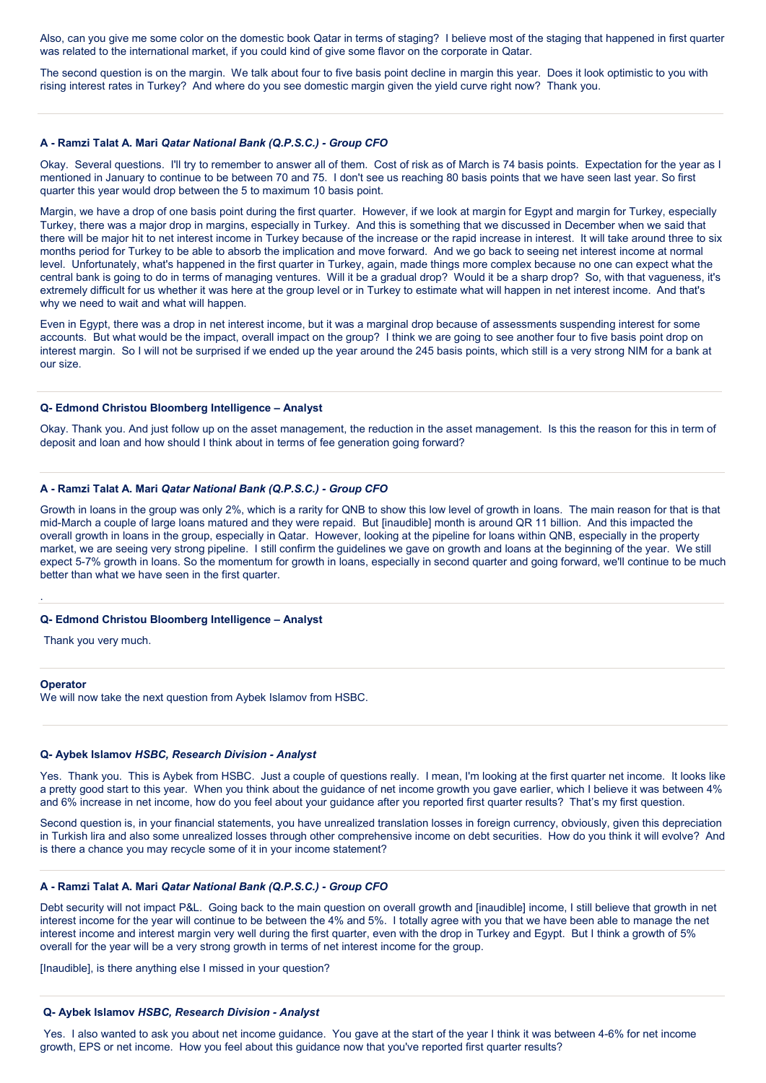Also, can you give me some color on the domestic book Qatar in terms of staging? I believe most of the staging that happened in first quarter was related to the international market, if you could kind of give some flavor on the corporate in Qatar.

The second question is on the margin. We talk about four to five basis point decline in margin this year. Does it look optimistic to you with rising interest rates in Turkey? And where do you see domestic margin given the yield curve right now? Thank you.

#### **A - Ramzi Talat A. Mari** *Qatar National Bank (Q.P.S.C.) - Group CFO*

Okay. Several questions. I'll try to remember to answer all of them. Cost of risk as of March is 74 basis points. Expectation for the year as I mentioned in January to continue to be between 70 and 75. I don't see us reaching 80 basis points that we have seen last year. So first quarter this year would drop between the 5 to maximum 10 basis point.

Margin, we have a drop of one basis point during the first quarter. However, if we look at margin for Egypt and margin for Turkey, especially Turkey, there was a major drop in margins, especially in Turkey. And this is something that we discussed in December when we said that there will be major hit to net interest income in Turkey because of the increase or the rapid increase in interest. It will take around three to six months period for Turkey to be able to absorb the implication and move forward. And we go back to seeing net interest income at normal level. Unfortunately, what's happened in the first quarter in Turkey, again, made things more complex because no one can expect what the central bank is going to do in terms of managing ventures. Will it be a gradual drop? Would it be a sharp drop? So, with that vagueness, it's extremely difficult for us whether it was here at the group level or in Turkey to estimate what will happen in net interest income. And that's why we need to wait and what will happen.

Even in Egypt, there was a drop in net interest income, but it was a marginal drop because of assessments suspending interest for some accounts. But what would be the impact, overall impact on the group? I think we are going to see another four to five basis point drop on interest margin. So I will not be surprised if we ended up the year around the 245 basis points, which still is a very strong NIM for a bank at our size.

# **Q- Edmond Christou Bloomberg Intelligence – Analyst**

Okay. Thank you. And just follow up on the asset management, the reduction in the asset management. Is this the reason for this in term of deposit and loan and how should I think about in terms of fee generation going forward?

# **A - Ramzi Talat A. Mari** *Qatar National Bank (Q.P.S.C.) - Group CFO*

Growth in loans in the group was only 2%, which is a rarity for QNB to show this low level of growth in loans. The main reason for that is that mid-March a couple of large loans matured and they were repaid. But [inaudible] month is around QR 11 billion. And this impacted the overall growth in loans in the group, especially in Qatar. However, looking at the pipeline for loans within QNB, especially in the property market, we are seeing very strong pipeline. I still confirm the guidelines we gave on growth and loans at the beginning of the year. We still expect 5-7% growth in loans. So the momentum for growth in loans, especially in second quarter and going forward, we'll continue to be much better than what we have seen in the first quarter.

# **Q- Edmond Christou Bloomberg Intelligence – Analyst**

Thank you very much.

#### **Operator**

.

We will now take the next question from Aybek Islamov from HSBC.

## **Q- Aybek Islamov** *HSBC, Research Division - Analyst*

Yes. Thank you. This is Aybek from HSBC. Just a couple of questions really. I mean, I'm looking at the first quarter net income. It looks like a pretty good start to this year. When you think about the guidance of net income growth you gave earlier, which I believe it was between 4% and 6% increase in net income, how do you feel about your guidance after you reported first quarter results? That's my first question.

Second question is, in your financial statements, you have unrealized translation losses in foreign currency, obviously, given this depreciation in Turkish lira and also some unrealized losses through other comprehensive income on debt securities. How do you think it will evolve? And is there a chance you may recycle some of it in your income statement?

## **A - Ramzi Talat A. Mari** *Qatar National Bank (Q.P.S.C.) - Group CFO*

Debt security will not impact P&L. Going back to the main question on overall growth and [inaudible] income, I still believe that growth in net interest income for the year will continue to be between the 4% and 5%. I totally agree with you that we have been able to manage the net interest income and interest margin very well during the first quarter, even with the drop in Turkey and Egypt. But I think a growth of 5% overall for the year will be a very strong growth in terms of net interest income for the group.

[Inaudible], is there anything else I missed in your question?

#### **Q- Aybek Islamov** *HSBC, Research Division - Analyst*

Yes. I also wanted to ask you about net income guidance. You gave at the start of the year I think it was between 4-6% for net income growth, EPS or net income. How you feel about this guidance now that you've reported first quarter results?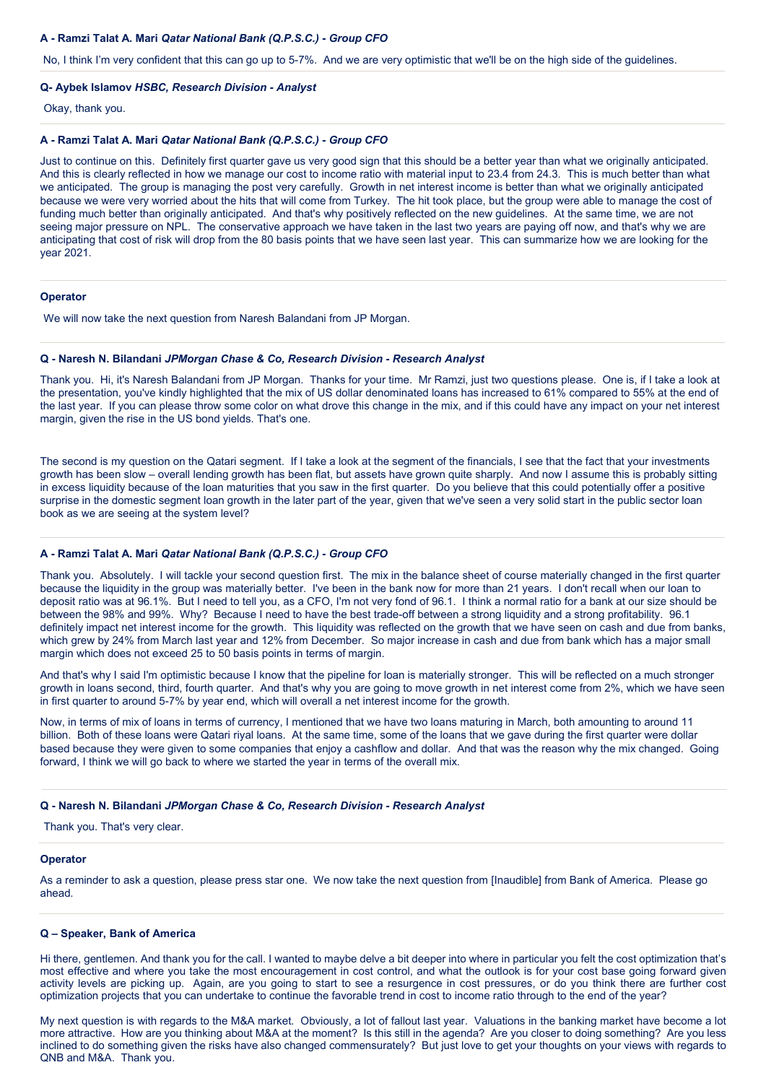## **A - Ramzi Talat A. Mari** *Qatar National Bank (Q.P.S.C.) - Group CFO*

No, I think I'm very confident that this can go up to 5-7%. And we are very optimistic that we'll be on the high side of the guidelines.

## **Q- Aybek Islamov** *HSBC, Research Division - Analyst*

Okay, thank you.

#### **A - Ramzi Talat A. Mari** *Qatar National Bank (Q.P.S.C.) - Group CFO*

Just to continue on this. Definitely first quarter gave us very good sign that this should be a better year than what we originally anticipated. And this is clearly reflected in how we manage our cost to income ratio with material input to 23.4 from 24.3. This is much better than what we anticipated. The group is managing the post very carefully. Growth in net interest income is better than what we originally anticipated because we were very worried about the hits that will come from Turkey. The hit took place, but the group were able to manage the cost of funding much better than originally anticipated. And that's why positively reflected on the new guidelines. At the same time, we are not seeing major pressure on NPL. The conservative approach we have taken in the last two years are paying off now, and that's why we are anticipating that cost of risk will drop from the 80 basis points that we have seen last year. This can summarize how we are looking for the year 2021.

#### **Operator**

We will now take the next question from Naresh Balandani from JP Morgan.

# **Q - Naresh N. Bilandani** *JPMorgan Chase & Co, Research Division - Research Analyst*

Thank you. Hi, it's Naresh Balandani from JP Morgan. Thanks for your time. Mr Ramzi, just two questions please. One is, if I take a look at the presentation, you've kindly highlighted that the mix of US dollar denominated loans has increased to 61% compared to 55% at the end of the last year. If you can please throw some color on what drove this change in the mix, and if this could have any impact on your net interest margin, given the rise in the US bond vields. That's one.

The second is my question on the Qatari segment. If I take a look at the segment of the financials, I see that the fact that your investments growth has been slow – overall lending growth has been flat, but assets have grown quite sharply. And now I assume this is probably sitting in excess liquidity because of the loan maturities that you saw in the first quarter. Do you believe that this could potentially offer a positive surprise in the domestic segment loan growth in the later part of the year, given that we've seen a very solid start in the public sector loan book as we are seeing at the system level?

# **A - Ramzi Talat A. Mari** *Qatar National Bank (Q.P.S.C.) - Group CFO*

Thank you. Absolutely. I will tackle your second question first. The mix in the balance sheet of course materially changed in the first quarter because the liquidity in the group was materially better. I've been in the bank now for more than 21 years. I don't recall when our loan to deposit ratio was at 96.1%. But I need to tell you, as a CFO, I'm not very fond of 96.1. I think a normal ratio for a bank at our size should be between the 98% and 99%. Why? Because I need to have the best trade-off between a strong liquidity and a strong profitability. 96.1 definitely impact net interest income for the growth. This liquidity was reflected on the growth that we have seen on cash and due from banks, which grew by 24% from March last year and 12% from December. So major increase in cash and due from bank which has a major small margin which does not exceed 25 to 50 basis points in terms of margin.

And that's why I said I'm optimistic because I know that the pipeline for loan is materially stronger. This will be reflected on a much stronger growth in loans second, third, fourth quarter. And that's why you are going to move growth in net interest come from 2%, which we have seen in first quarter to around 5-7% by year end, which will overall a net interest income for the growth.

Now, in terms of mix of loans in terms of currency, I mentioned that we have two loans maturing in March, both amounting to around 11 billion. Both of these loans were Qatari riyal loans. At the same time, some of the loans that we gave during the first quarter were dollar based because they were given to some companies that enjoy a cashflow and dollar. And that was the reason why the mix changed. Going forward, I think we will go back to where we started the year in terms of the overall mix.

## **Q - Naresh N. Bilandani** *JPMorgan Chase & Co, Research Division - Research Analyst*

Thank you. That's very clear.

#### **Operator**

As a reminder to ask a question, please press star one. We now take the next question from [Inaudible] from Bank of America. Please go ahead.

## **Q – Speaker, Bank of America**

Hi there, gentlemen. And thank you for the call. I wanted to maybe delve a bit deeper into where in particular you felt the cost optimization that's most effective and where you take the most encouragement in cost control, and what the outlook is for your cost base going forward given activity levels are picking up. Again, are you going to start to see a resurgence in cost pressures, or do you think there are further cost optimization projects that you can undertake to continue the favorable trend in cost to income ratio through to the end of the year?

My next question is with regards to the M&A market. Obviously, a lot of fallout last year. Valuations in the banking market have become a lot more attractive. How are you thinking about M&A at the moment? Is this still in the agenda? Are you closer to doing something? Are you less inclined to do something given the risks have also changed commensurately? But just love to get your thoughts on your views with regards to QNB and M&A. Thank you.